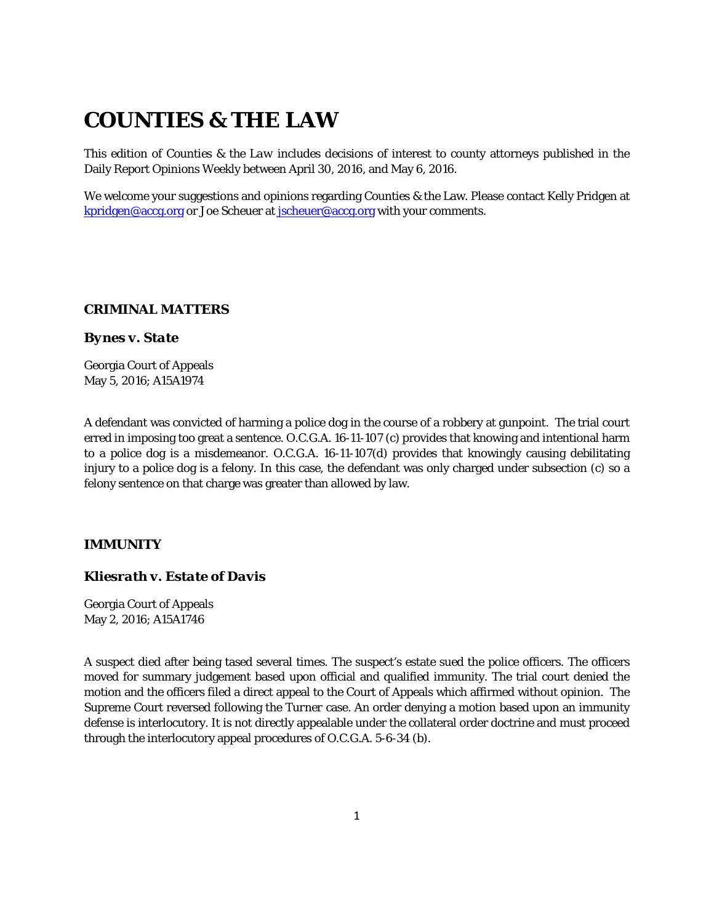# **COUNTIES & THE LAW**

This edition of *Counties & the Law* includes decisions of interest to county attorneys published in the Daily Report Opinions Weekly between April 30, 2016, and May 6, 2016.

We welcome your suggestions and opinions regarding Counties & the Law. Please contact Kelly Pridgen at [kpridgen@accg.org](mailto:kpridgen@accg.org) or Joe Scheuer at [jscheuer@accg.org](mailto:jscheuer@accg.org) with your comments.

## *CRIMINAL MATTERS*

#### *Bynes v. State*

Georgia Court of Appeals May 5, 2016; A15A1974

A defendant was convicted of harming a police dog in the course of a robbery at gunpoint. The trial court erred in imposing too great a sentence. O.C.G.A. 16-11-107 (c) provides that knowing and intentional harm to a police dog is a misdemeanor. O.C.G.A. 16-11-107(d) provides that knowingly causing debilitating injury to a police dog is a felony. In this case, the defendant was only charged under subsection (c) so a felony sentence on that charge was greater than allowed by law.

# *IMMUNITY*

### *Kliesrath v. Estate of Davis*

Georgia Court of Appeals May 2, 2016; A15A1746

A suspect died after being tased several times. The suspect's estate sued the police officers. The officers moved for summary judgement based upon official and qualified immunity. The trial court denied the motion and the officers filed a direct appeal to the Court of Appeals which affirmed without opinion. The Supreme Court reversed following the *Turner* case. An order denying a motion based upon an immunity defense is interlocutory. It is not directly appealable under the collateral order doctrine and must proceed through the interlocutory appeal procedures of O.C.G.A. 5-6-34 (b).